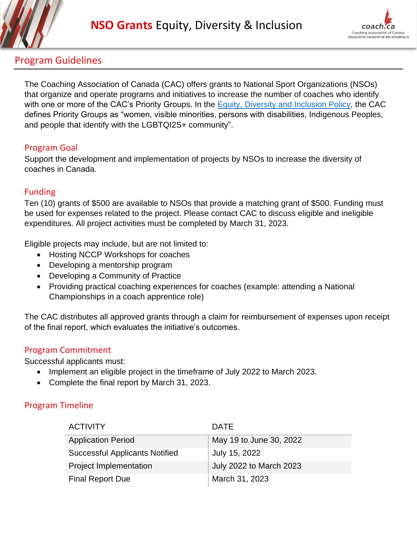



# Program Guidelines

The Coaching Association of Canada (CAC) offers grants to National Sport Organizations (NSOs) that organize and operate programs and initiatives to increase the number of coaches who identify with one or more of the CAC's Priority Groups. In the **Equity, Diversity and Inclusion Policy**, the CAC defines Priority Groups as "women, visible minorities, persons with disabilities, Indigenous Peoples, and people that identify with the LGBTQI2S+ community".

### Program Goal

Support the development and implementation of projects by NSOs to increase the diversity of coaches in Canada.

### Funding

Ten (10) grants of \$500 are available to NSOs that provide a matching grant of \$500. Funding must be used for expenses related to the project. Please contact CAC to discuss eligible and ineligible expenditures. All project activities must be completed by March 31, 2023.

Eligible projects may include, but are not limited to:

- Hosting NCCP Workshops for coaches
- Developing a mentorship program
- Developing a Community of Practice
- Providing practical coaching experiences for coaches (example: attending a National Championships in a coach apprentice role)

The CAC distributes all approved grants through a claim for reimbursement of expenses upon receipt of the final report, which evaluates the initiative's outcomes.

# Program Commitment

Successful applicants must:

- Implement an eligible project in the timeframe of July 2022 to March 2023.
- Complete the final report by March 31, 2023.

# Program Timeline

| <b>ACTIVITY</b>                       | <b>DATE</b>                    |
|---------------------------------------|--------------------------------|
| <b>Application Period</b>             | May 19 to June 30, 2022        |
| <b>Successful Applicants Notified</b> | July 15, 2022                  |
| <b>Project Implementation</b>         | <b>July 2022 to March 2023</b> |
| <b>Final Report Due</b>               | March 31, 2023                 |